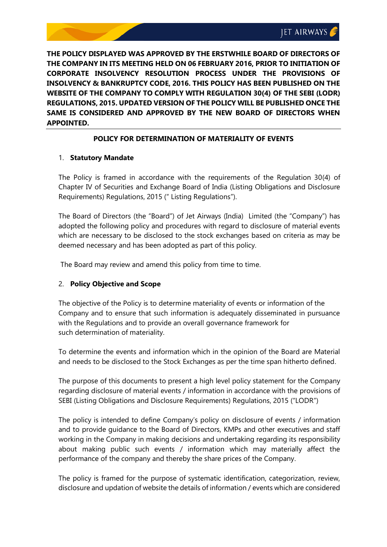

**THE POLICY DISPLAYED WAS APPROVED BY THE ERSTWHILE BOARD OF DIRECTORS OF THE COMPANY IN ITS MEETING HELD ON 06 FEBRUARY 2016, PRIOR TO INITIATION OF CORPORATE INSOLVENCY RESOLUTION PROCESS UNDER THE PROVISIONS OF INSOLVENCY & BANKRUPTCY CODE, 2016. THIS POLICY HAS BEEN PUBLISHED ON THE WEBSITE OF THE COMPANY TO COMPLY WITH REGULATION 30(4) OF THE SEBI (LODR) REGULATIONS, 2015. UPDATED VERSION OF THE POLICY WILL BE PUBLISHED ONCE THE SAME IS CONSIDERED AND APPROVED BY THE NEW BOARD OF DIRECTORS WHEN APPOINTED.**

# **POLICY FOR DETERMINATION OF MATERIALITY OF EVENTS**

# 1. **Statutory Mandate**

The Policy is framed in accordance with the requirements of the Regulation 30(4) of Chapter IV of Securities and Exchange Board of India (Listing Obligations and Disclosure Requirements) Regulations, 2015 (" Listing Regulations").

The Board of Directors (the "Board") of Jet Airways (India) Limited (the "Company") has adopted the following policy and procedures with regard to disclosure of material events which are necessary to be disclosed to the stock exchanges based on criteria as may be deemed necessary and has been adopted as part of this policy.

The Board may review and amend this policy from time to time.

# 2. **Policy Objective and Scope**

The objective of the Policy is to determine materiality of events or information of the Company and to ensure that such information is adequately disseminated in pursuance with the Regulations and to provide an overall governance framework for such determination of materiality.

To determine the events and information which in the opinion of the Board are Material and needs to be disclosed to the Stock Exchanges as per the time span hitherto defined.

The purpose of this documents to present a high level policy statement for the Company regarding disclosure of material events / information in accordance with the provisions of SEBI (Listing Obligations and Disclosure Requirements) Regulations, 2015 ("LODR")

The policy is intended to define Company's policy on disclosure of events / information and to provide guidance to the Board of Directors, KMPs and other executives and staff working in the Company in making decisions and undertaking regarding its responsibility about making public such events / information which may materially affect the performance of the company and thereby the share prices of the Company.

The policy is framed for the purpose of systematic identification, categorization, review, disclosure and updation of website the details of information / events which are considered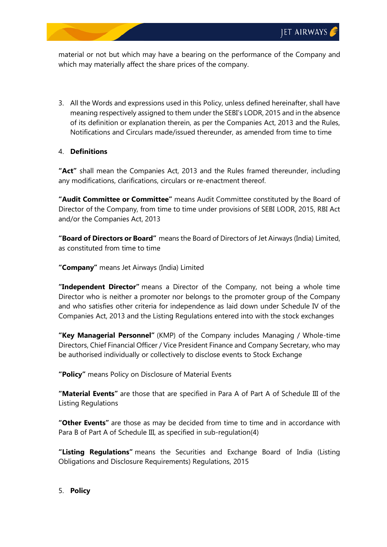material or not but which may have a bearing on the performance of the Company and which may materially affect the share prices of the company.

3. All the Words and expressions used in this Policy, unless defined hereinafter, shall have meaning respectively assigned to them under the SEBI's LODR, 2015 and in the absence of its definition or explanation therein, as per the Companies Act, 2013 and the Rules, Notifications and Circulars made/issued thereunder, as amended from time to time

# 4. **Definitions**

**"Act"** shall mean the Companies Act, 2013 and the Rules framed thereunder, including any modifications, clarifications, circulars or re-enactment thereof.

**"Audit Committee or Committee"** means Audit Committee constituted by the Board of Director of the Company, from time to time under provisions of SEBI LODR, 2015, RBI Act and/or the Companies Act, 2013

**"Board of Directors or Board"** means the Board of Directors of Jet Airways (India) Limited, as constituted from time to time

**"Company"** means Jet Airways (India) Limited

**"Independent Director"** means a Director of the Company, not being a whole time Director who is neither a promoter nor belongs to the promoter group of the Company and who satisfies other criteria for independence as laid down under Schedule IV of the Companies Act, 2013 and the Listing Regulations entered into with the stock exchanges

**"Key Managerial Personnel"** (KMP) of the Company includes Managing / Whole-time Directors, Chief Financial Officer / Vice President Finance and Company Secretary, who may be authorised individually or collectively to disclose events to Stock Exchange

**"Policy"** means Policy on Disclosure of Material Events

**"Material Events"** are those that are specified in Para A of Part A of Schedule III of the Listing Regulations

**"Other Events"** are those as may be decided from time to time and in accordance with Para B of Part A of Schedule III, as specified in sub-regulation(4)

**"Listing Regulations"** means the Securities and Exchange Board of India (Listing Obligations and Disclosure Requirements) Regulations, 2015

# 5. **Policy**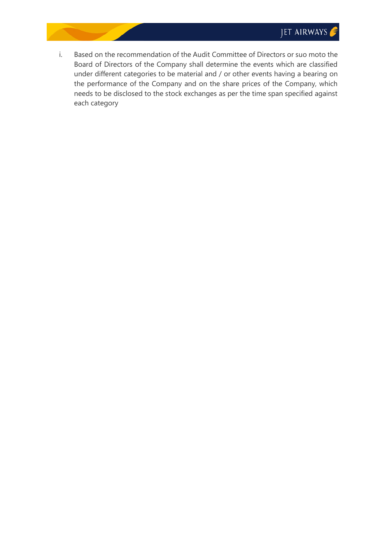i. Based on the recommendation of the Audit Committee of Directors or suo moto the Board of Directors of the Company shall determine the events which are classified under different categories to be material and / or other events having a bearing on the performance of the Company and on the share prices of the Company, which needs to be disclosed to the stock exchanges as per the time span specified against each category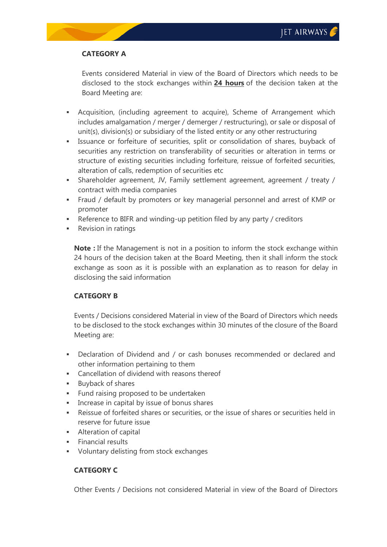# **CATEGORY A**

Events considered Material in view of the Board of Directors which needs to be disclosed to the stock exchanges within **24 hours** of the decision taken at the Board Meeting are:

- Acquisition, (including agreement to acquire), Scheme of Arrangement which includes amalgamation / merger / demerger / restructuring), or sale or disposal of unit(s), division(s) or subsidiary of the listed entity or any other restructuring
- Issuance or forfeiture of securities, split or consolidation of shares, buyback of securities any restriction on transferability of securities or alteration in terms or structure of existing securities including forfeiture, reissue of forfeited securities, alteration of calls, redemption of securities etc
- Shareholder agreement, JV, Family settlement agreement, agreement / treaty / contract with media companies
- Fraud / default by promoters or key managerial personnel and arrest of KMP or promoter
- Reference to BIFR and winding-up petition filed by any party / creditors
- Revision in ratings

**Note :** If the Management is not in a position to inform the stock exchange within 24 hours of the decision taken at the Board Meeting, then it shall inform the stock exchange as soon as it is possible with an explanation as to reason for delay in disclosing the said information

# **CATEGORY B**

Events / Decisions considered Material in view of the Board of Directors which needs to be disclosed to the stock exchanges within 30 minutes of the closure of the Board Meeting are:

- Declaration of Dividend and / or cash bonuses recommended or declared and other information pertaining to them
- Cancellation of dividend with reasons thereof
- **Buyback of shares**
- **Fund raising proposed to be undertaken**
- Increase in capital by issue of bonus shares
- Reissue of forfeited shares or securities, or the issue of shares or securities held in reserve for future issue
- **Alteration of capital**
- **Financial results**
- Voluntary delisting from stock exchanges

# **CATEGORY C**

Other Events / Decisions not considered Material in view of the Board of Directors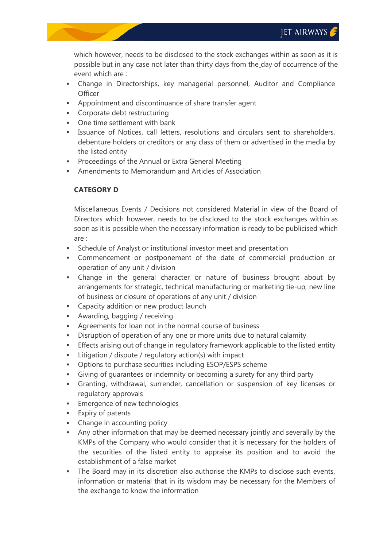which however, needs to be disclosed to the stock exchanges within as soon as it is possible but in any case not later than thirty days from the day of occurrence of the event which are :

- Change in Directorships, key managerial personnel, Auditor and Compliance **Officer**
- Appointment and discontinuance of share transfer agent
- **Corporate debt restructuring**
- One time settlement with bank
- **EXECTE ISSUANCE OF Notices, call letters, resolutions and circulars sent to shareholders,** debenture holders or creditors or any class of them or advertised in the media by the listed entity
- Proceedings of the Annual or Extra General Meeting
- Amendments to Memorandum and Articles of Association

# **CATEGORY D**

Miscellaneous Events / Decisions not considered Material in view of the Board of Directors which however, needs to be disclosed to the stock exchanges within as soon as it is possible when the necessary information is ready to be publicised which are :

- Schedule of Analyst or institutional investor meet and presentation
- Commencement or postponement of the date of commercial production or operation of any unit / division
- Change in the general character or nature of business brought about by arrangements for strategic, technical manufacturing or marketing tie-up, new line of business or closure of operations of any unit / division
- Capacity addition or new product launch
- Awarding, bagging / receiving
- Agreements for loan not in the normal course of business
- Disruption of operation of any one or more units due to natural calamity
- Effects arising out of change in regulatory framework applicable to the listed entity
- **EXECUTE:** Litigation / dispute / regulatory action(s) with impact
- Options to purchase securities including ESOP/ESPS scheme
- Giving of guarantees or indemnity or becoming a surety for any third party
- Granting, withdrawal, surrender, cancellation or suspension of key licenses or regulatory approvals
- Emergence of new technologies
- **Expiry of patents**
- Change in accounting policy
- Any other information that may be deemed necessary jointly and severally by the KMPs of the Company who would consider that it is necessary for the holders of the securities of the listed entity to appraise its position and to avoid the establishment of a false market
- The Board may in its discretion also authorise the KMPs to disclose such events, information or material that in its wisdom may be necessary for the Members of the exchange to know the information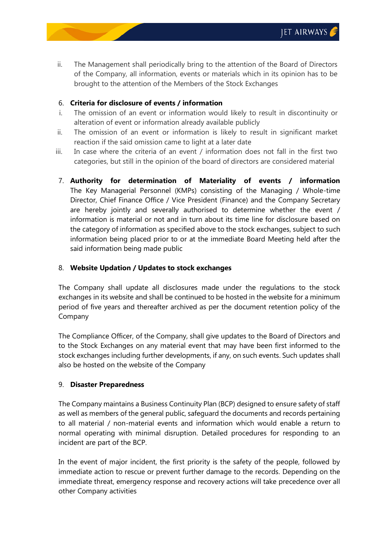ii. The Management shall periodically bring to the attention of the Board of Directors of the Company, all information, events or materials which in its opinion has to be brought to the attention of the Members of the Stock Exchanges

## 6. **Criteria for disclosure of events / information**

- i. The omission of an event or information would likely to result in discontinuity or alteration of event or information already available publicly
- ii. The omission of an event or information is likely to result in significant market reaction if the said omission came to light at a later date
- iii. In case where the criteria of an event / information does not fall in the first two categories, but still in the opinion of the board of directors are considered material
- 7. **Authority for determination of Materiality of events / information** The Key Managerial Personnel (KMPs) consisting of the Managing / Whole-time Director, Chief Finance Office / Vice President (Finance) and the Company Secretary are hereby jointly and severally authorised to determine whether the event / information is material or not and in turn about its time line for disclosure based on the category of information as specified above to the stock exchanges, subject to such information being placed prior to or at the immediate Board Meeting held after the said information being made public

## 8. **Website Updation / Updates to stock exchanges**

The Company shall update all disclosures made under the regulations to the stock exchanges in its website and shall be continued to be hosted in the website for a minimum period of five years and thereafter archived as per the document retention policy of the Company

The Compliance Officer, of the Company, shall give updates to the Board of Directors and to the Stock Exchanges on any material event that may have been first informed to the stock exchanges including further developments, if any, on such events. Such updates shall also be hosted on the website of the Company

### 9. **Disaster Preparedness**

The Company maintains a Business Continuity Plan (BCP) designed to ensure safety of staff as well as members of the general public, safeguard the documents and records pertaining to all material / non-material events and information which would enable a return to normal operating with minimal disruption. Detailed procedures for responding to an incident are part of the BCP.

In the event of major incident, the first priority is the safety of the people, followed by immediate action to rescue or prevent further damage to the records. Depending on the immediate threat, emergency response and recovery actions will take precedence over all other Company activities